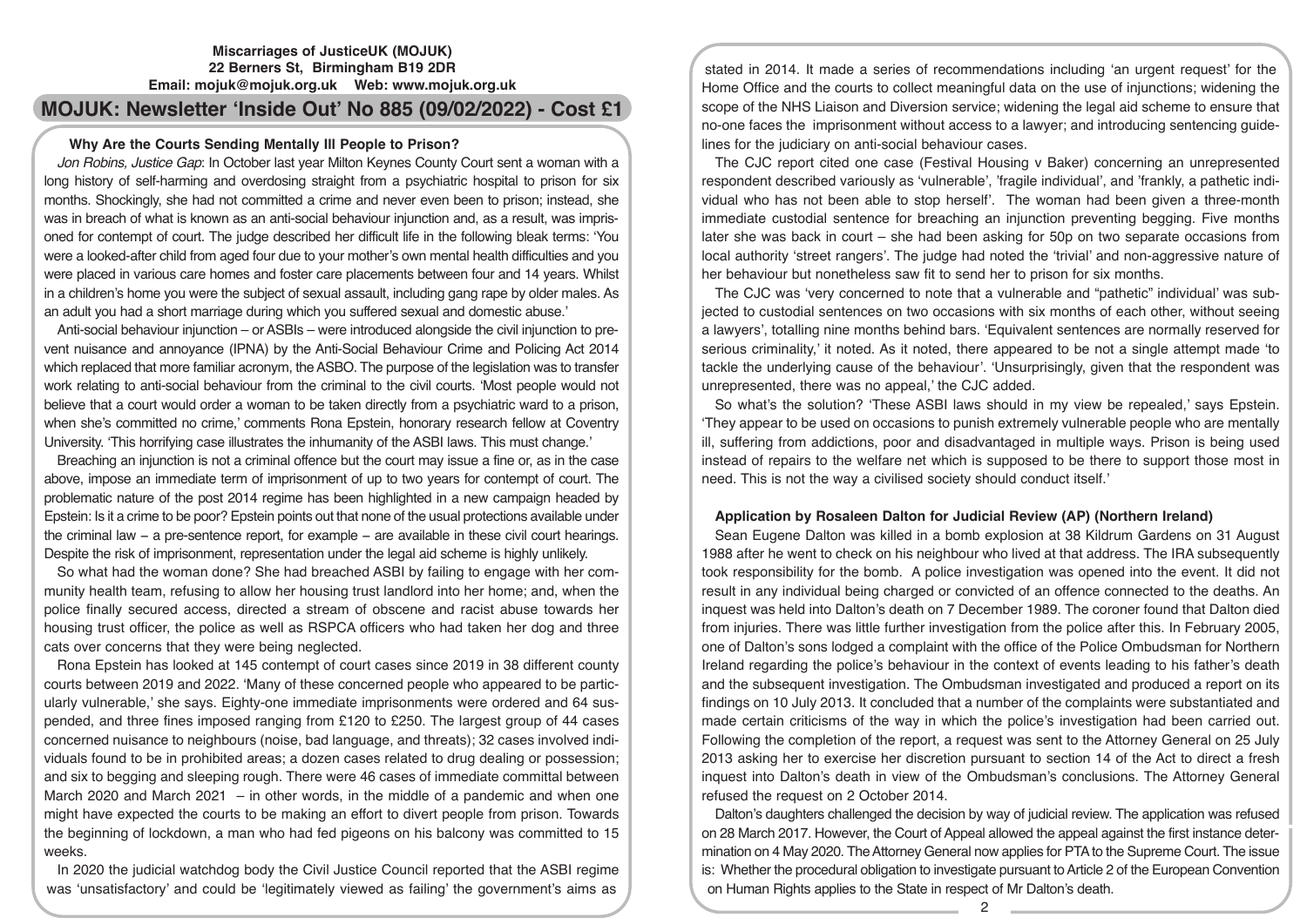# **Miscarriages of JusticeUK (MOJUK) 22 Berners St, Birmingham B19 2DR Email: mojuk@mojuk.org.uk Web: www.mojuk.org.uk**

# **MOJUK: Newsletter 'Inside Out' No 885 (09/02/2022) - Cost £1**

# **Why Are the Courts Sending Mentally Ill People to Prison?**

*Jon Robins, Justice Gap*: In October last year Milton Keynes County Court sent a woman with a long history of self-harming and overdosing straight from a psychiatric hospital to prison for six months. Shockingly, she had not committed a crime and never even been to prison; instead, she was in breach of what is known as an anti-social behaviour injunction and, as a result, was imprisoned for contempt of court. The judge described her difficult life in the following bleak terms: 'You were a looked-after child from aged four due to your mother's own mental health difficulties and you were placed in various care homes and foster care placements between four and 14 years. Whilst in a children's home you were the subject of sexual assault, including gang rape by older males. As an adult you had a short marriage during which you suffered sexual and domestic abuse.'

Anti-social behaviour injunction – or ASBIs – were introduced alongside the civil injunction to prevent nuisance and annoyance (IPNA) by the Anti-Social Behaviour Crime and Policing Act 2014 which replaced that more familiar acronym, the ASBO. The purpose of the legislation was to transfer work relating to anti-social behaviour from the criminal to the civil courts. 'Most people would not believe that a court would order a woman to be taken directly from a psychiatric ward to a prison, when she's committed no crime,' comments Rona Epstein, honorary research fellow at Coventry University. 'This horrifying case illustrates the inhumanity of the ASBI laws. This must change.'

Breaching an injunction is not a criminal offence but the court may issue a fine or, as in the case above, impose an immediate term of imprisonment of up to two years for contempt of court. The problematic nature of the post 2014 regime has been highlighted in a new campaign headed by Epstein: Is it a crime to be poor? Epstein points out that none of the usual protections available under the criminal law – a pre-sentence report, for example – are available in these civil court hearings. Despite the risk of imprisonment, representation under the legal aid scheme is highly unlikely.

So what had the woman done? She had breached ASBI by failing to engage with her community health team, refusing to allow her housing trust landlord into her home; and, when the police finally secured access, directed a stream of obscene and racist abuse towards her housing trust officer, the police as well as RSPCA officers who had taken her dog and three cats over concerns that they were being neglected.

Rona Epstein has looked at 145 contempt of court cases since 2019 in 38 different county courts between 2019 and 2022. 'Many of these concerned people who appeared to be particularly vulnerable,' she says. Eighty-one immediate imprisonments were ordered and 64 suspended, and three fines imposed ranging from £120 to £250. The largest group of 44 cases concerned nuisance to neighbours (noise, bad language, and threats); 32 cases involved individuals found to be in prohibited areas; a dozen cases related to drug dealing or possession; and six to begging and sleeping rough. There were 46 cases of immediate committal between March 2020 and March 2021 – in other words, in the middle of a pandemic and when one might have expected the courts to be making an effort to divert people from prison. Towards the beginning of lockdown, a man who had fed pigeons on his balcony was committed to 15 weeks.

In 2020 the judicial watchdog body the Civil Justice Council reported that the ASBI regime was 'unsatisfactory' and could be 'legitimately viewed as failing' the government's aims as

stated in 2014. It made a series of recommendations including 'an urgent request' for the Home Office and the courts to collect meaningful data on the use of injunctions; widening the scope of the NHS Liaison and Diversion service; widening the legal aid scheme to ensure that no-one faces the imprisonment without access to a lawyer; and introducing sentencing guidelines for the judiciary on anti-social behaviour cases.

The CJC report cited one case (Festival Housing v Baker) concerning an unrepresented respondent described variously as 'vulnerable', 'fragile individual', and 'frankly, a pathetic individual who has not been able to stop herself'. The woman had been given a three-month immediate custodial sentence for breaching an injunction preventing begging. Five months later she was back in court – she had been asking for 50p on two separate occasions from local authority 'street rangers'. The judge had noted the 'trivial' and non-aggressive nature of her behaviour but nonetheless saw fit to send her to prison for six months.

The CJC was 'very concerned to note that a vulnerable and "pathetic" individual' was subjected to custodial sentences on two occasions with six months of each other, without seeing a lawyers', totalling nine months behind bars. 'Equivalent sentences are normally reserved for serious criminality,' it noted. As it noted, there appeared to be not a single attempt made 'to tackle the underlying cause of the behaviour'. 'Unsurprisingly, given that the respondent was unrepresented, there was no appeal,' the CJC added.

So what's the solution? 'These ASBI laws should in my view be repealed,' says Epstein. 'They appear to be used on occasions to punish extremely vulnerable people who are mentally ill, suffering from addictions, poor and disadvantaged in multiple ways. Prison is being used instead of repairs to the welfare net which is supposed to be there to support those most in need. This is not the way a civilised society should conduct itself.'

# **Application by Rosaleen Dalton for Judicial Review (AP) (Northern Ireland)**

Sean Eugene Dalton was killed in a bomb explosion at 38 Kildrum Gardens on 31 August 1988 after he went to check on his neighbour who lived at that address. The IRA subsequently took responsibility for the bomb. A police investigation was opened into the event. It did not result in any individual being charged or convicted of an offence connected to the deaths. An inquest was held into Dalton's death on 7 December 1989. The coroner found that Dalton died from injuries. There was little further investigation from the police after this. In February 2005, one of Dalton's sons lodged a complaint with the office of the Police Ombudsman for Northern Ireland regarding the police's behaviour in the context of events leading to his father's death and the subsequent investigation. The Ombudsman investigated and produced a report on its findings on 10 July 2013. It concluded that a number of the complaints were substantiated and made certain criticisms of the way in which the police's investigation had been carried out. Following the completion of the report, a request was sent to the Attorney General on 25 July 2013 asking her to exercise her discretion pursuant to section 14 of the Act to direct a fresh inquest into Dalton's death in view of the Ombudsman's conclusions. The Attorney General refused the request on 2 October 2014.

Dalton's daughters challenged the decision by way of judicial review. The application was refused on 28 March 2017. However, the Court of Appeal allowed the appeal against the first instance determination on 4 May 2020. The Attorney General now applies for PTA to the Supreme Court. The issue is: Whether the procedural obligation to investigate pursuant to Article 2 of the European Convention on Human Rights applies to the State in respect of Mr Dalton's death.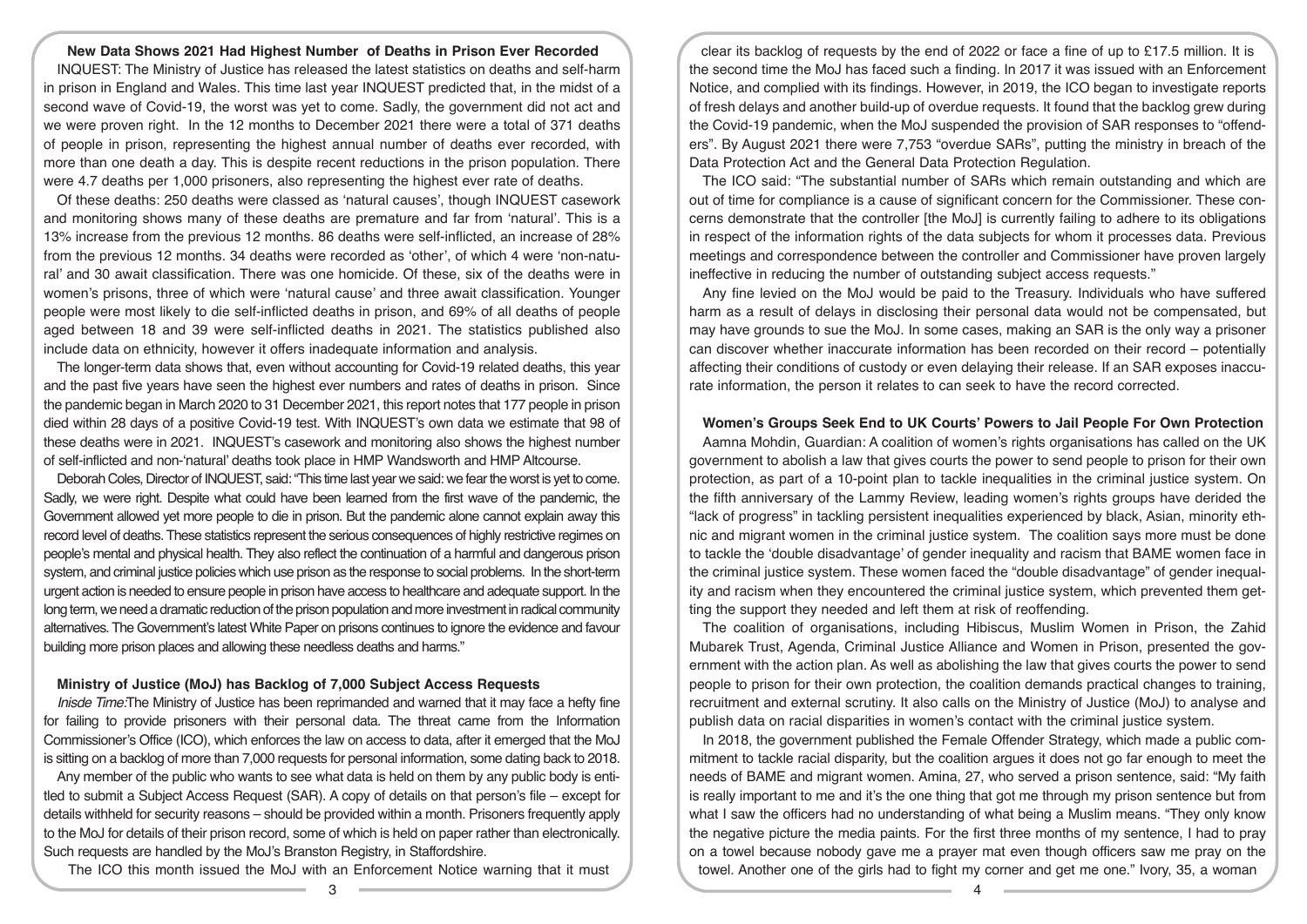#### **New Data Shows 2021 Had Highest Number of Deaths in Prison Ever Recorded**

INQUEST: The Ministry of Justice has released the latest statistics on deaths and self-harm in prison in England and Wales. This time last year INQUEST predicted that, in the midst of a second wave of Covid-19, the worst was yet to come. Sadly, the government did not act and we were proven right. In the 12 months to December 2021 there were a total of 371 deaths of people in prison, representing the highest annual number of deaths ever recorded, with more than one death a day. This is despite recent reductions in the prison population. There were 4.7 deaths per 1,000 prisoners, also representing the highest ever rate of deaths.

Of these deaths: 250 deaths were classed as 'natural causes', though INQUEST casework and monitoring shows many of these deaths are premature and far from 'natural'. This is a 13% increase from the previous 12 months. 86 deaths were self-inflicted, an increase of 28% from the previous 12 months. 34 deaths were recorded as 'other', of which 4 were 'non-natural' and 30 await classification. There was one homicide. Of these, six of the deaths were in women's prisons, three of which were 'natural cause' and three await classification. Younger people were most likely to die self-inflicted deaths in prison, and 69% of all deaths of people aged between 18 and 39 were self-inflicted deaths in 2021. The statistics published also include data on ethnicity, however it offers inadequate information and analysis.

The longer-term data shows that, even without accounting for Covid-19 related deaths, this year and the past five years have seen the highest ever numbers and rates of deaths in prison. Since the pandemic began in March 2020 to 31 December 2021, this report notes that 177 people in prison died within 28 days of a positive Covid-19 test. With INQUEST's own data we estimate that 98 of these deaths were in 2021. INQUEST's casework and monitoring also shows the highest number of self-inflicted and non-'natural' deaths took place in HMP Wandsworth and HMP Altcourse.

Deborah Coles, Director of INQUEST, said: "This time last year we said: we fear the worst is yet to come. Sadly, we were right. Despite what could have been learned from the first wave of the pandemic, the Government allowed yet more people to die in prison. But the pandemic alone cannot explain away this record level of deaths. These statistics represent the serious consequences of highly restrictive regimes on people's mental and physical health. They also reflect the continuation of a harmful and dangerous prison system, and criminal justice policies which use prison as the response to social problems. In the short-term urgent action is needed to ensure people in prison have access to healthcare and adequate support. In the long term, we need a dramatic reduction of the prison population and more investment in radical community alternatives. The Government's latest White Paper on prisons continues to ignore the evidence and favour building more prison places and allowing these needless deaths and harms."

#### **Ministry of Justice (MoJ) has Backlog of 7,000 Subject Access Requests**

*Inisde Time:*The Ministry of Justice has been reprimanded and warned that it may face a hefty fine for failing to provide prisoners with their personal data. The threat came from the Information Commissioner's Office (ICO), which enforces the law on access to data, after it emerged that the MoJ is sitting on a backlog of more than 7,000 requests for personal information, some dating back to 2018.

Any member of the public who wants to see what data is held on them by any public body is entitled to submit a Subject Access Request (SAR). A copy of details on that person's file – except for details withheld for security reasons – should be provided within a month. Prisoners frequently apply to the MoJ for details of their prison record, some of which is held on paper rather than electronically. Such requests are handled by the MoJ's Branston Registry, in Staffordshire.

The ICO this month issued the MoJ with an Enforcement Notice warning that it must

clear its backlog of requests by the end of 2022 or face a fine of up to £17.5 million. It is the second time the MoJ has faced such a finding. In 2017 it was issued with an Enforcement Notice, and complied with its findings. However, in 2019, the ICO began to investigate reports of fresh delays and another build-up of overdue requests. It found that the backlog grew during the Covid-19 pandemic, when the MoJ suspended the provision of SAR responses to "offenders". By August 2021 there were 7,753 "overdue SARs", putting the ministry in breach of the Data Protection Act and the General Data Protection Regulation.

The ICO said: "The substantial number of SARs which remain outstanding and which are out of time for compliance is a cause of significant concern for the Commissioner. These concerns demonstrate that the controller [the MoJ] is currently failing to adhere to its obligations in respect of the information rights of the data subjects for whom it processes data. Previous meetings and correspondence between the controller and Commissioner have proven largely ineffective in reducing the number of outstanding subject access requests."

Any fine levied on the MoJ would be paid to the Treasury. Individuals who have suffered harm as a result of delays in disclosing their personal data would not be compensated, but may have grounds to sue the MoJ. In some cases, making an SAR is the only way a prisoner can discover whether inaccurate information has been recorded on their record – potentially affecting their conditions of custody or even delaying their release. If an SAR exposes inaccurate information, the person it relates to can seek to have the record corrected.

## **Women's Groups Seek End to UK Courts' Powers to Jail People For Own Protection**

Aamna Mohdin, Guardian: A coalition of women's rights organisations has called on the UK government to abolish a law that gives courts the power to send people to prison for their own protection, as part of a 10-point plan to tackle inequalities in the criminal justice system. On the fifth anniversary of the Lammy Review, leading women's rights groups have derided the "lack of progress" in tackling persistent inequalities experienced by black, Asian, minority ethnic and migrant women in the criminal justice system. The coalition says more must be done to tackle the 'double disadvantage' of gender inequality and racism that BAME women face in the criminal justice system. These women faced the "double disadvantage" of gender inequality and racism when they encountered the criminal justice system, which prevented them getting the support they needed and left them at risk of reoffending.

The coalition of organisations, including Hibiscus, Muslim Women in Prison, the Zahid Mubarek Trust, Agenda, Criminal Justice Alliance and Women in Prison, presented the government with the action plan. As well as abolishing the law that gives courts the power to send people to prison for their own protection, the coalition demands practical changes to training, recruitment and external scrutiny. It also calls on the Ministry of Justice (MoJ) to analyse and publish data on racial disparities in women's contact with the criminal justice system.

In 2018, the government published the Female Offender Strategy, which made a public commitment to tackle racial disparity, but the coalition argues it does not go far enough to meet the needs of BAME and migrant women. Amina, 27, who served a prison sentence, said: "My faith is really important to me and it's the one thing that got me through my prison sentence but from what I saw the officers had no understanding of what being a Muslim means. "They only know the negative picture the media paints. For the first three months of my sentence, I had to pray on a towel because nobody gave me a prayer mat even though officers saw me pray on the towel. Another one of the girls had to fight my corner and get me one." Ivory, 35, a woman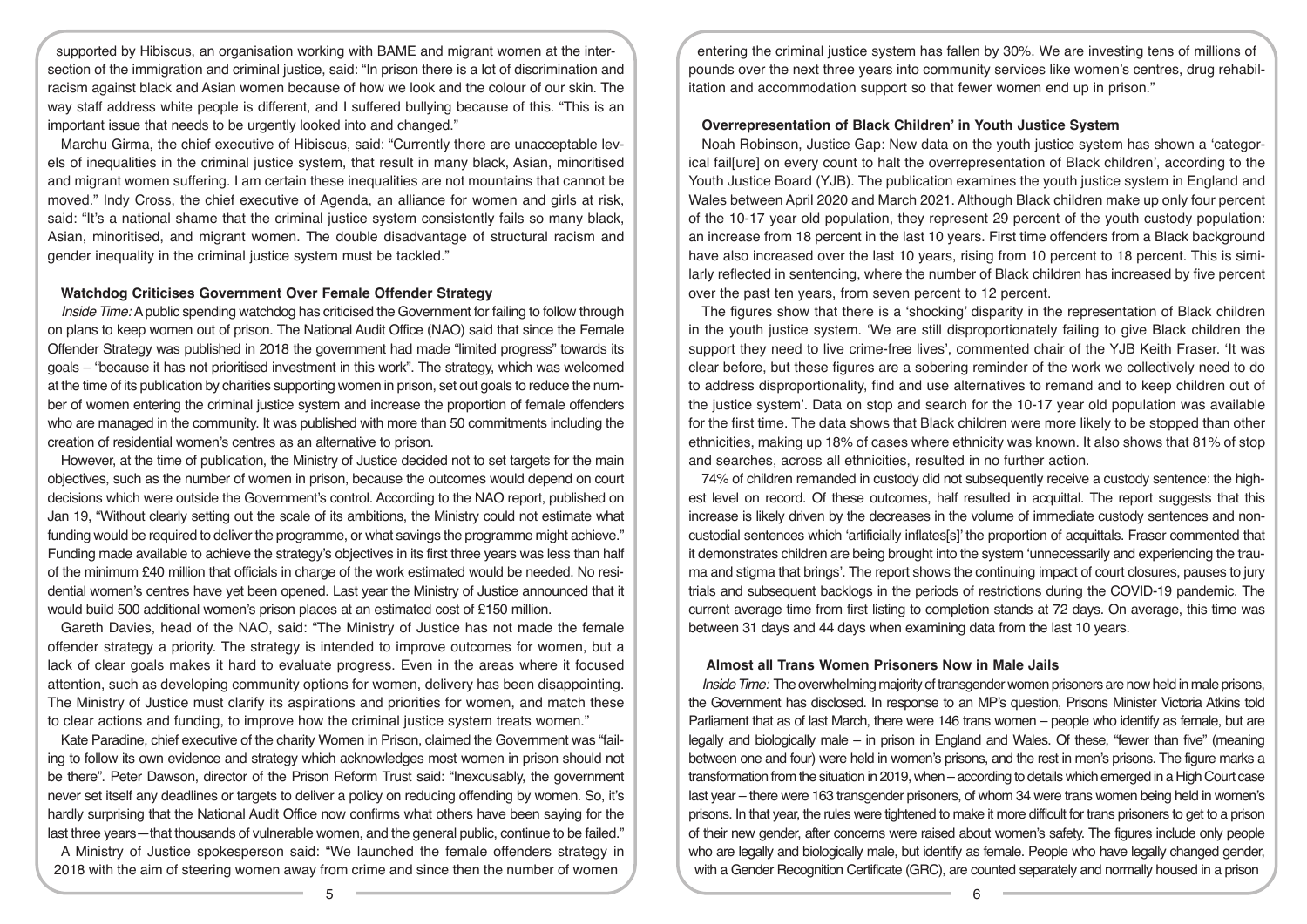supported by Hibiscus, an organisation working with BAME and migrant women at the intersection of the immigration and criminal justice, said: "In prison there is a lot of discrimination and racism against black and Asian women because of how we look and the colour of our skin. The way staff address white people is different, and I suffered bullying because of this. "This is an important issue that needs to be urgently looked into and changed."

Marchu Girma, the chief executive of Hibiscus, said: "Currently there are unacceptable levels of inequalities in the criminal justice system, that result in many black, Asian, minoritised and migrant women suffering. I am certain these inequalities are not mountains that cannot be moved." Indy Cross, the chief executive of Agenda, an alliance for women and girls at risk, said: "It's a national shame that the criminal justice system consistently fails so many black, Asian, minoritised, and migrant women. The double disadvantage of structural racism and gender inequality in the criminal justice system must be tackled."

## **Watchdog Criticises Government Over Female Offender Strategy**

*Inside Time:* A public spending watchdog has criticised the Government for failing to follow through on plans to keep women out of prison. The National Audit Office (NAO) said that since the Female Offender Strategy was published in 2018 the government had made "limited progress" towards its goals – "because it has not prioritised investment in this work". The strategy, which was welcomed at the time of its publication by charities supporting women in prison, set out goals to reduce the number of women entering the criminal justice system and increase the proportion of female offenders who are managed in the community. It was published with more than 50 commitments including the creation of residential women's centres as an alternative to prison.

However, at the time of publication, the Ministry of Justice decided not to set targets for the main objectives, such as the number of women in prison, because the outcomes would depend on court decisions which were outside the Government's control. According to the NAO report, published on Jan 19, "Without clearly setting out the scale of its ambitions, the Ministry could not estimate what funding would be required to deliver the programme, or what savings the programme might achieve." Funding made available to achieve the strategy's objectives in its first three years was less than half of the minimum £40 million that officials in charge of the work estimated would be needed. No residential women's centres have yet been opened. Last year the Ministry of Justice announced that it would build 500 additional women's prison places at an estimated cost of £150 million.

Gareth Davies, head of the NAO, said: "The Ministry of Justice has not made the female offender strategy a priority. The strategy is intended to improve outcomes for women, but a lack of clear goals makes it hard to evaluate progress. Even in the areas where it focused attention, such as developing community options for women, delivery has been disappointing. The Ministry of Justice must clarify its aspirations and priorities for women, and match these to clear actions and funding, to improve how the criminal justice system treats women."

Kate Paradine, chief executive of the charity Women in Prison, claimed the Government was "failing to follow its own evidence and strategy which acknowledges most women in prison should not be there". Peter Dawson, director of the Prison Reform Trust said: "Inexcusably, the government never set itself any deadlines or targets to deliver a policy on reducing offending by women. So, it's hardly surprising that the National Audit Office now confirms what others have been saying for the last three years—that thousands of vulnerable women, and the general public, continue to be failed."

A Ministry of Justice spokesperson said: "We launched the female offenders strategy in 2018 with the aim of steering women away from crime and since then the number of women

entering the criminal justice system has fallen by 30%. We are investing tens of millions of pounds over the next three years into community services like women's centres, drug rehabilitation and accommodation support so that fewer women end up in prison."

## **Overrepresentation of Black Children' in Youth Justice System**

Noah Robinson, Justice Gap: New data on the youth justice system has shown a 'categorical fail[ure] on every count to halt the overrepresentation of Black children', according to the Youth Justice Board (YJB). The publication examines the youth justice system in England and Wales between April 2020 and March 2021. Although Black children make up only four percent of the 10-17 year old population, they represent 29 percent of the youth custody population: an increase from 18 percent in the last 10 years. First time offenders from a Black background have also increased over the last 10 years, rising from 10 percent to 18 percent. This is similarly reflected in sentencing, where the number of Black children has increased by five percent over the past ten years, from seven percent to 12 percent.

The figures show that there is a 'shocking' disparity in the representation of Black children in the youth justice system. 'We are still disproportionately failing to give Black children the support they need to live crime-free lives', commented chair of the YJB Keith Fraser. 'It was clear before, but these figures are a sobering reminder of the work we collectively need to do to address disproportionality, find and use alternatives to remand and to keep children out of the justice system'. Data on stop and search for the 10-17 year old population was available for the first time. The data shows that Black children were more likely to be stopped than other ethnicities, making up 18% of cases where ethnicity was known. It also shows that 81% of stop and searches, across all ethnicities, resulted in no further action.

74% of children remanded in custody did not subsequently receive a custody sentence: the highest level on record. Of these outcomes, half resulted in acquittal. The report suggests that this increase is likely driven by the decreases in the volume of immediate custody sentences and noncustodial sentences which 'artificially inflates[s]' the proportion of acquittals. Fraser commented that it demonstrates children are being brought into the system 'unnecessarily and experiencing the trauma and stigma that brings'. The report shows the continuing impact of court closures, pauses to jury trials and subsequent backlogs in the periods of restrictions during the COVID-19 pandemic. The current average time from first listing to completion stands at 72 days. On average, this time was between 31 days and 44 days when examining data from the last 10 years.

## **Almost all Trans Women Prisoners Now in Male Jails**

*Inside Time:* The overwhelming majority of transgender women prisoners are now held in male prisons, the Government has disclosed. In response to an MP's question, Prisons Minister Victoria Atkins told Parliament that as of last March, there were 146 trans women – people who identify as female, but are legally and biologically male – in prison in England and Wales. Of these, "fewer than five" (meaning between one and four) were held in women's prisons, and the rest in men's prisons. The figure marks a transformation from the situation in 2019, when – according to details which emerged in a High Court case last year – there were 163 transgender prisoners, of whom 34 were trans women being held in women's prisons. In that year, the rules were tightened to make it more difficult for trans prisoners to get to a prison of their new gender, after concerns were raised about women's safety. The figures include only people who are legally and biologically male, but identify as female. People who have legally changed gender, with a Gender Recognition Certificate (GRC), are counted separately and normally housed in a prison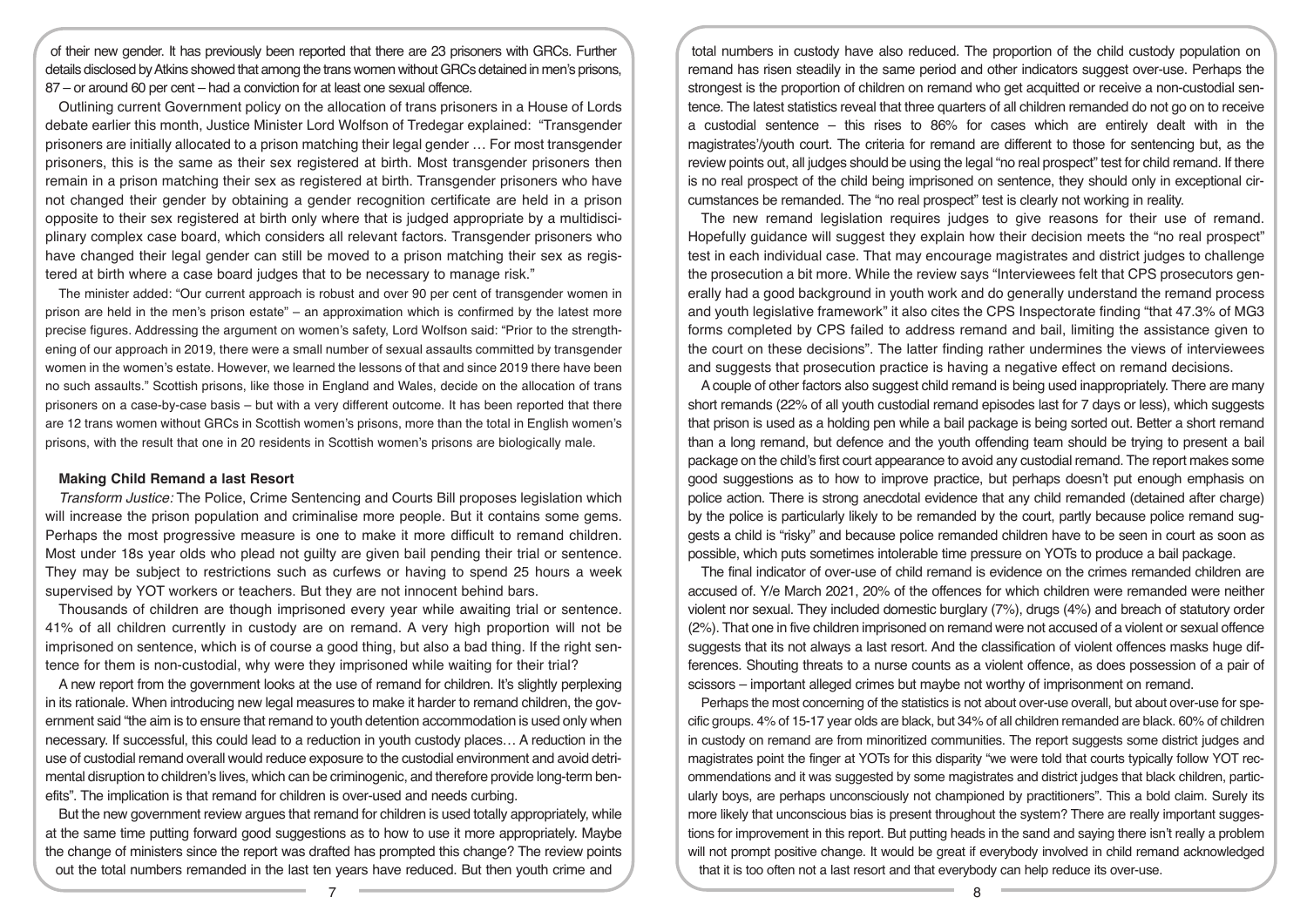of their new gender. It has previously been reported that there are 23 prisoners with GRCs. Further details disclosed by Atkins showed that among the trans women without GRCs detained in men's prisons, 87 – or around 60 per cent – had a conviction for at least one sexual offence.

Outlining current Government policy on the allocation of trans prisoners in a House of Lords debate earlier this month, Justice Minister Lord Wolfson of Tredegar explained: "Transgender prisoners are initially allocated to a prison matching their legal gender … For most transgender prisoners, this is the same as their sex registered at birth. Most transgender prisoners then remain in a prison matching their sex as registered at birth. Transgender prisoners who have not changed their gender by obtaining a gender recognition certificate are held in a prison opposite to their sex registered at birth only where that is judged appropriate by a multidisciplinary complex case board, which considers all relevant factors. Transgender prisoners who have changed their legal gender can still be moved to a prison matching their sex as registered at birth where a case board judges that to be necessary to manage risk."

The minister added: "Our current approach is robust and over 90 per cent of transgender women in prison are held in the men's prison estate" – an approximation which is confirmed by the latest more precise figures. Addressing the argument on women's safety, Lord Wolfson said: "Prior to the strengthening of our approach in 2019, there were a small number of sexual assaults committed by transgender women in the women's estate. However, we learned the lessons of that and since 2019 there have been no such assaults." Scottish prisons, like those in England and Wales, decide on the allocation of trans prisoners on a case-by-case basis – but with a very different outcome. It has been reported that there are 12 trans women without GRCs in Scottish women's prisons, more than the total in English women's prisons, with the result that one in 20 residents in Scottish women's prisons are biologically male.

## **Making Child Remand a last Resort**

*Transform Justice:* The Police, Crime Sentencing and Courts Bill proposes legislation which will increase the prison population and criminalise more people. But it contains some gems. Perhaps the most progressive measure is one to make it more difficult to remand children. Most under 18s year olds who plead not guilty are given bail pending their trial or sentence. They may be subject to restrictions such as curfews or having to spend 25 hours a week supervised by YOT workers or teachers. But they are not innocent behind bars.

Thousands of children are though imprisoned every year while awaiting trial or sentence. 41% of all children currently in custody are on remand. A very high proportion will not be imprisoned on sentence, which is of course a good thing, but also a bad thing. If the right sentence for them is non-custodial, why were they imprisoned while waiting for their trial?

A new report from the government looks at the use of remand for children. It's slightly perplexing in its rationale. When introducing new legal measures to make it harder to remand children, the government said "the aim is to ensure that remand to youth detention accommodation is used only when necessary. If successful, this could lead to a reduction in youth custody places… A reduction in the use of custodial remand overall would reduce exposure to the custodial environment and avoid detrimental disruption to children's lives, which can be criminogenic, and therefore provide long-term benefits". The implication is that remand for children is over-used and needs curbing.

But the new government review argues that remand for children is used totally appropriately, while at the same time putting forward good suggestions as to how to use it more appropriately. Maybe the change of ministers since the report was drafted has prompted this change? The review points out the total numbers remanded in the last ten years have reduced. But then youth crime and

total numbers in custody have also reduced. The proportion of the child custody population on remand has risen steadily in the same period and other indicators suggest over-use. Perhaps the strongest is the proportion of children on remand who get acquitted or receive a non-custodial sentence. The latest statistics reveal that three quarters of all children remanded do not go on to receive a custodial sentence – this rises to 86% for cases which are entirely dealt with in the magistrates'/youth court. The criteria for remand are different to those for sentencing but, as the review points out, all judges should be using the legal "no real prospect" test for child remand. If there is no real prospect of the child being imprisoned on sentence, they should only in exceptional circumstances be remanded. The "no real prospect" test is clearly not working in reality.

The new remand legislation requires judges to give reasons for their use of remand. Hopefully guidance will suggest they explain how their decision meets the "no real prospect" test in each individual case. That may encourage magistrates and district judges to challenge the prosecution a bit more. While the review says "Interviewees felt that CPS prosecutors generally had a good background in youth work and do generally understand the remand process and youth legislative framework" it also cites the CPS Inspectorate finding "that 47.3% of MG3 forms completed by CPS failed to address remand and bail, limiting the assistance given to the court on these decisions". The latter finding rather undermines the views of interviewees and suggests that prosecution practice is having a negative effect on remand decisions.

A couple of other factors also suggest child remand is being used inappropriately. There are many short remands (22% of all youth custodial remand episodes last for 7 days or less), which suggests that prison is used as a holding pen while a bail package is being sorted out. Better a short remand than a long remand, but defence and the youth offending team should be trying to present a bail package on the child's first court appearance to avoid any custodial remand. The report makes some good suggestions as to how to improve practice, but perhaps doesn't put enough emphasis on police action. There is strong anecdotal evidence that any child remanded (detained after charge) by the police is particularly likely to be remanded by the court, partly because police remand suggests a child is "risky" and because police remanded children have to be seen in court as soon as possible, which puts sometimes intolerable time pressure on YOTs to produce a bail package.

The final indicator of over-use of child remand is evidence on the crimes remanded children are accused of. Y/e March 2021, 20% of the offences for which children were remanded were neither violent nor sexual. They included domestic burglary (7%), drugs (4%) and breach of statutory order (2%). That one in five children imprisoned on remand were not accused of a violent or sexual offence suggests that its not always a last resort. And the classification of violent offences masks huge differences. Shouting threats to a nurse counts as a violent offence, as does possession of a pair of scissors – important alleged crimes but maybe not worthy of imprisonment on remand.

Perhaps the most concerning of the statistics is not about over-use overall, but about over-use for specific groups. 4% of 15-17 year olds are black, but 34% of all children remanded are black. 60% of children in custody on remand are from minoritized communities. The report suggests some district judges and magistrates point the finger at YOTs for this disparity "we were told that courts typically follow YOT recommendations and it was suggested by some magistrates and district judges that black children, particularly boys, are perhaps unconsciously not championed by practitioners". This a bold claim. Surely its more likely that unconscious bias is present throughout the system? There are really important suggestions for improvement in this report. But putting heads in the sand and saying there isn't really a problem will not prompt positive change. It would be great if everybody involved in child remand acknowledged that it is too often not a last resort and that everybody can help reduce its over-use.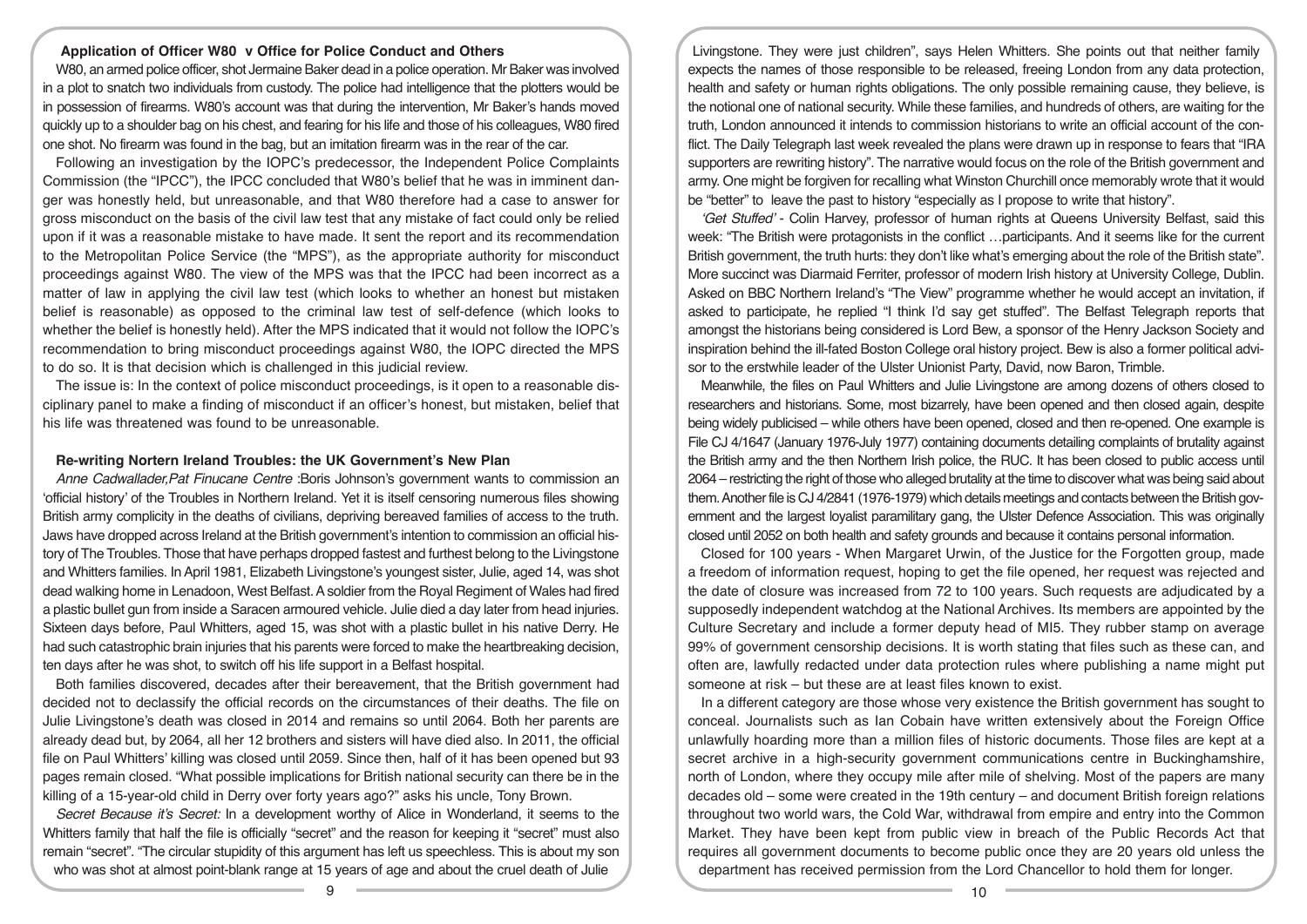## **Application of Officer W80 v Office for Police Conduct and Others**

W80, an armed police officer, shot Jermaine Baker dead in a police operation. Mr Baker was involved in a plot to snatch two individuals from custody. The police had intelligence that the plotters would be in possession of firearms. W80's account was that during the intervention, Mr Baker's hands moved quickly up to a shoulder bag on his chest, and fearing for his life and those of his colleagues, W80 fired one shot. No firearm was found in the bag, but an imitation firearm was in the rear of the car.

Following an investigation by the IOPC's predecessor, the Independent Police Complaints Commission (the "IPCC"), the IPCC concluded that W80's belief that he was in imminent danger was honestly held, but unreasonable, and that W80 therefore had a case to answer for gross misconduct on the basis of the civil law test that any mistake of fact could only be relied upon if it was a reasonable mistake to have made. It sent the report and its recommendation to the Metropolitan Police Service (the "MPS"), as the appropriate authority for misconduct proceedings against W80. The view of the MPS was that the IPCC had been incorrect as a matter of law in applying the civil law test (which looks to whether an honest but mistaken belief is reasonable) as opposed to the criminal law test of self-defence (which looks to whether the belief is honestly held). After the MPS indicated that it would not follow the IOPC's recommendation to bring misconduct proceedings against W80, the IOPC directed the MPS to do so. It is that decision which is challenged in this judicial review.

The issue is: In the context of police misconduct proceedings, is it open to a reasonable disciplinary panel to make a finding of misconduct if an officer's honest, but mistaken, belief that his life was threatened was found to be unreasonable.

## **Re-writing Nortern Ireland Troubles: the UK Government's New Plan**

*Anne Cadwallader,Pat Finucane Centre* :Boris Johnson's government wants to commission an 'official history' of the Troubles in Northern Ireland. Yet it is itself censoring numerous files showing British army complicity in the deaths of civilians, depriving bereaved families of access to the truth. Jaws have dropped across Ireland at the British government's intention to commission an official history of The Troubles. Those that have perhaps dropped fastest and furthest belong to the Livingstone and Whitters families. In April 1981, Elizabeth Livingstone's youngest sister, Julie, aged 14, was shot dead walking home in Lenadoon, West Belfast. A soldier from the Royal Regiment of Wales had fired a plastic bullet gun from inside a Saracen armoured vehicle. Julie died a day later from head injuries. Sixteen days before, Paul Whitters, aged 15, was shot with a plastic bullet in his native Derry. He had such catastrophic brain injuries that his parents were forced to make the heartbreaking decision, ten days after he was shot, to switch off his life support in a Belfast hospital.

Both families discovered, decades after their bereavement, that the British government had decided not to declassify the official records on the circumstances of their deaths. The file on Julie Livingstone's death was closed in 2014 and remains so until 2064. Both her parents are already dead but, by 2064, all her 12 brothers and sisters will have died also. In 2011, the official file on Paul Whitters' killing was closed until 2059. Since then, half of it has been opened but 93 pages remain closed. "What possible implications for British national security can there be in the killing of a 15-year-old child in Derry over forty years ago?" asks his uncle, Tony Brown.

*Secret Because it's Secret:* In a development worthy of Alice in Wonderland, it seems to the Whitters family that half the file is officially "secret" and the reason for keeping it "secret" must also remain "secret". "The circular stupidity of this argument has left us speechless. This is about my son who was shot at almost point-blank range at 15 years of age and about the cruel death of Julie

Livingstone. They were just children", says Helen Whitters. She points out that neither family expects the names of those responsible to be released, freeing London from any data protection, health and safety or human rights obligations. The only possible remaining cause, they believe, is the notional one of national security. While these families, and hundreds of others, are waiting for the truth, London announced it intends to commission historians to write an official account of the conflict. The Daily Telegraph last week revealed the plans were drawn up in response to fears that "IRA supporters are rewriting history". The narrative would focus on the role of the British government and army. One might be forgiven for recalling what Winston Churchill once memorably wrote that it would be "better" to leave the past to history "especially as I propose to write that history".

*'Get Stuffed'* - Colin Harvey, professor of human rights at Queens University Belfast, said this week: "The British were protagonists in the conflict …participants. And it seems like for the current British government, the truth hurts: they don't like what's emerging about the role of the British state". More succinct was Diarmaid Ferriter, professor of modern Irish history at University College, Dublin. Asked on BBC Northern Ireland's "The View" programme whether he would accept an invitation, if asked to participate, he replied "I think I'd say get stuffed". The Belfast Telegraph reports that amongst the historians being considered is Lord Bew, a sponsor of the Henry Jackson Society and inspiration behind the ill-fated Boston College oral history project. Bew is also a former political advisor to the erstwhile leader of the Ulster Unionist Party, David, now Baron, Trimble.

Meanwhile, the files on Paul Whitters and Julie Livingstone are among dozens of others closed to researchers and historians. Some, most bizarrely, have been opened and then closed again, despite being widely publicised – while others have been opened, closed and then re-opened. One example is File CJ 4/1647 (January 1976-July 1977) containing documents detailing complaints of brutality against the British army and the then Northern Irish police, the RUC. It has been closed to public access until 2064 – restricting the right of those who alleged brutality at the time to discover what was being said about them. Another file is CJ 4/2841 (1976-1979) which details meetings and contacts between the British government and the largest loyalist paramilitary gang, the Ulster Defence Association. This was originally closed until 2052 on both health and safety grounds and because it contains personal information.

Closed for 100 years - When Margaret Urwin, of the Justice for the Forgotten group, made a freedom of information request, hoping to get the file opened, her request was rejected and the date of closure was increased from 72 to 100 years. Such requests are adjudicated by a supposedly independent watchdog at the National Archives. Its members are appointed by the Culture Secretary and include a former deputy head of MI5. They rubber stamp on average 99% of government censorship decisions. It is worth stating that files such as these can, and often are, lawfully redacted under data protection rules where publishing a name might put someone at risk – but these are at least files known to exist.

In a different category are those whose very existence the British government has sought to conceal. Journalists such as Ian Cobain have written extensively about the Foreign Office unlawfully hoarding more than a million files of historic documents. Those files are kept at a secret archive in a high-security government communications centre in Buckinghamshire, north of London, where they occupy mile after mile of shelving. Most of the papers are many decades old – some were created in the 19th century – and document British foreign relations throughout two world wars, the Cold War, withdrawal from empire and entry into the Common Market. They have been kept from public view in breach of the Public Records Act that requires all government documents to become public once they are 20 years old unless the department has received permission from the Lord Chancellor to hold them for longer.